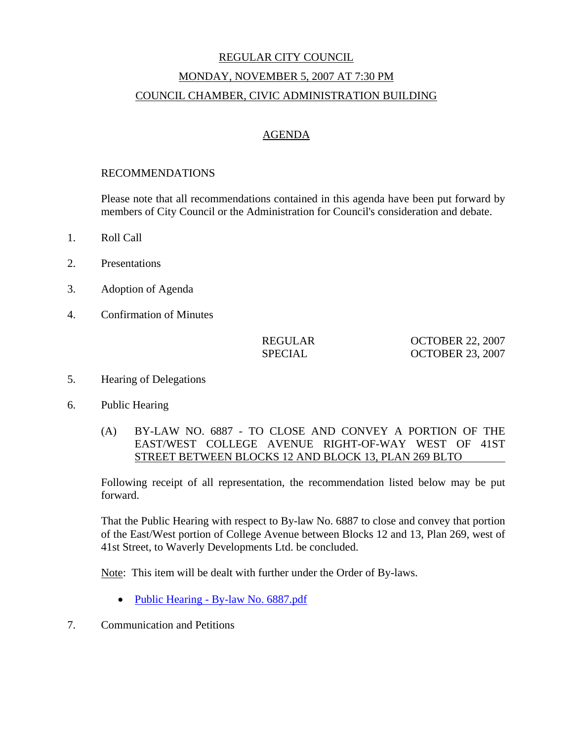# REGULAR CITY COUNCIL MONDAY, NOVEMBER 5, 2007 AT 7:30 PM COUNCIL CHAMBER, CIVIC ADMINISTRATION BUILDING

## AGENDA

#### RECOMMENDATIONS

Please note that all recommendations contained in this agenda have been put forward by members of City Council or the Administration for Council's consideration and debate.

- 1. Roll Call
- 2. Presentations
- 3. Adoption of Agenda
- 4. Confirmation of Minutes

| REGULAR |  |
|---------|--|
| SPECIAL |  |

REGULAR OCTOBER 22, 2007 SPECIAL OCTOBER 23, 2007

- 5. Hearing of Delegations
- 6. Public Hearing
	- (A) BY-LAW NO. 6887 TO CLOSE AND CONVEY A PORTION OF THE EAST/WEST COLLEGE AVENUE RIGHT-OF-WAY WEST OF 41ST STREET BETWEEN BLOCKS 12 AND BLOCK 13, PLAN 269 BLTO

Following receipt of all representation, the recommendation listed below may be put forward.

That the Public Hearing with respect to By-law No. 6887 to close and convey that portion of the East/West portion of College Avenue between Blocks 12 and 13, Plan 269, west of 41st Street, to Waverly Developments Ltd. be concluded.

Note: This item will be dealt with further under the Order of By-laws.

- Public Hearing By-law No. 6887.pdf
- 7. Communication and Petitions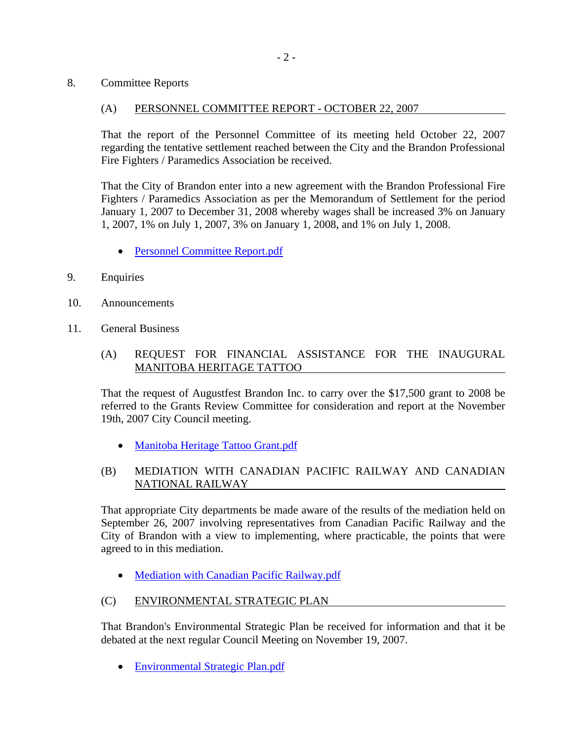8. Committee Reports

## (A) PERSONNEL COMMITTEE REPORT - OCTOBER 22, 2007

That the report of the Personnel Committee of its meeting held October 22, 2007 regarding the tentative settlement reached between the City and the Brandon Professional Fire Fighters / Paramedics Association be received.

That the City of Brandon enter into a new agreement with the Brandon Professional Fire Fighters / Paramedics Association as per the Memorandum of Settlement for the period January 1, 2007 to December 31, 2008 whereby wages shall be increased 3% on January 1, 2007, 1% on July 1, 2007, 3% on January 1, 2008, and 1% on July 1, 2008.

- Personnel Committee Report.pdf
- 9. Enquiries
- 10. Announcements
- 11. General Business
	- (A) REQUEST FOR FINANCIAL ASSISTANCE FOR THE INAUGURAL MANITOBA HERITAGE TATTOO

That the request of Augustfest Brandon Inc. to carry over the \$17,500 grant to 2008 be referred to the Grants Review Committee for consideration and report at the November 19th, 2007 City Council meeting.

• Manitoba Heritage Tattoo Grant.pdf

## (B) MEDIATION WITH CANADIAN PACIFIC RAILWAY AND CANADIAN NATIONAL RAILWAY

That appropriate City departments be made aware of the results of the mediation held on September 26, 2007 involving representatives from Canadian Pacific Railway and the City of Brandon with a view to implementing, where practicable, the points that were agreed to in this mediation.

• Mediation with Canadian Pacific Railway.pdf

## (C) ENVIRONMENTAL STRATEGIC PLAN

That Brandon's Environmental Strategic Plan be received for information and that it be debated at the next regular Council Meeting on November 19, 2007.

• Environmental Strategic Plan.pdf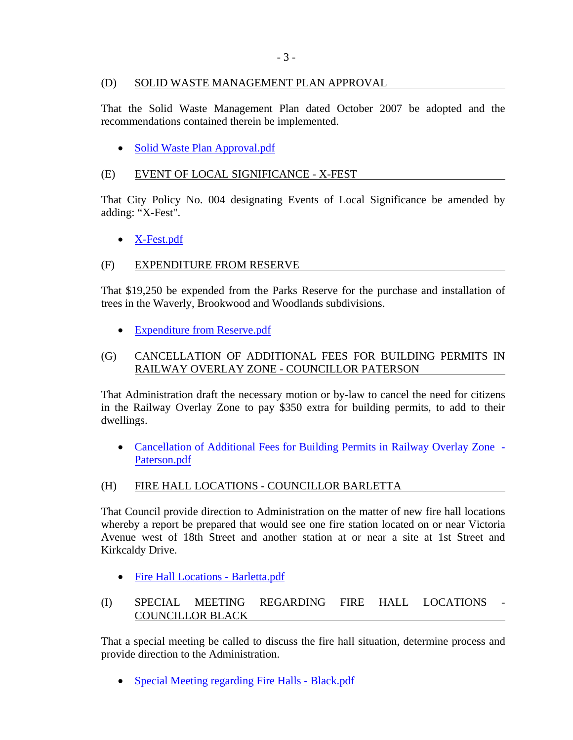## (D) SOLID WASTE MANAGEMENT PLAN APPROVAL

That the Solid Waste Management Plan dated October 2007 be adopted and the recommendations contained therein be implemented.

• Solid Waste Plan Approval.pdf

## (E) EVENT OF LOCAL SIGNIFICANCE - X-FEST

That City Policy No. 004 designating Events of Local Significance be amended by adding: "X-Fest".

# • X-Fest.pdf

# (F) EXPENDITURE FROM RESERVE

That \$19,250 be expended from the Parks Reserve for the purchase and installation of trees in the Waverly, Brookwood and Woodlands subdivisions.

• Expenditure from Reserve.pdf

## (G) CANCELLATION OF ADDITIONAL FEES FOR BUILDING PERMITS IN RAILWAY OVERLAY ZONE - COUNCILLOR PATERSON

That Administration draft the necessary motion or by-law to cancel the need for citizens in the Railway Overlay Zone to pay \$350 extra for building permits, to add to their dwellings.

• Cancellation of Additional Fees for Building Permits in Railway Overlay Zone - Paterson.pdf

## (H) FIRE HALL LOCATIONS - COUNCILLOR BARLETTA

That Council provide direction to Administration on the matter of new fire hall locations whereby a report be prepared that would see one fire station located on or near Victoria Avenue west of 18th Street and another station at or near a site at 1st Street and Kirkcaldy Drive.

• Fire Hall Locations - Barletta.pdf

## (I) SPECIAL MEETING REGARDING FIRE HALL LOCATIONS COUNCILLOR BLACK

That a special meeting be called to discuss the fire hall situation, determine process and provide direction to the Administration.

• Special Meeting regarding Fire Halls - Black.pdf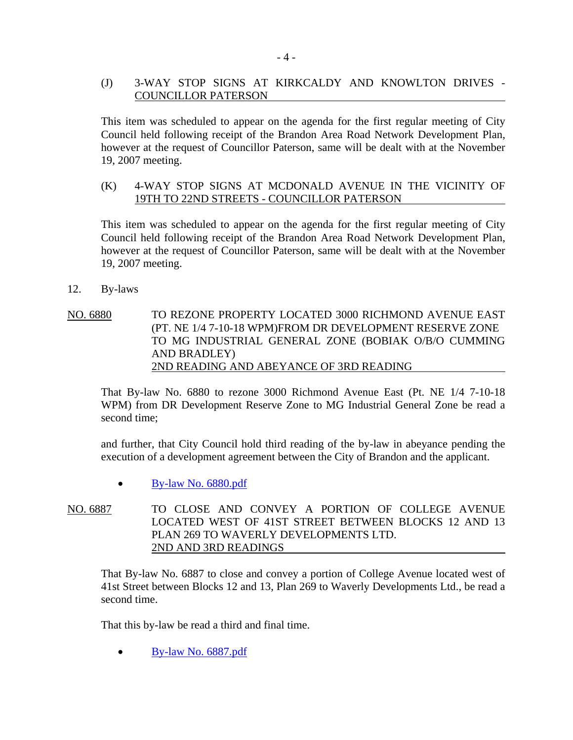## (J) 3-WAY STOP SIGNS AT KIRKCALDY AND KNOWLTON DRIVES - COUNCILLOR PATERSON

This item was scheduled to appear on the agenda for the first regular meeting of City Council held following receipt of the Brandon Area Road Network Development Plan, however at the request of Councillor Paterson, same will be dealt with at the November 19, 2007 meeting.

#### (K) 4-WAY STOP SIGNS AT MCDONALD AVENUE IN THE VICINITY OF 19TH TO 22ND STREETS - COUNCILLOR PATERSON

This item was scheduled to appear on the agenda for the first regular meeting of City Council held following receipt of the Brandon Area Road Network Development Plan, however at the request of Councillor Paterson, same will be dealt with at the November 19, 2007 meeting.

- 12. By-laws
- NO. 6880 TO REZONE PROPERTY LOCATED 3000 RICHMOND AVENUE EAST (PT. NE 1/4 7-10-18 WPM)FROM DR DEVELOPMENT RESERVE ZONE TO MG INDUSTRIAL GENERAL ZONE (BOBIAK O/B/O CUMMING AND BRADLEY) 2ND READING AND ABEYANCE OF 3RD READING

That By-law No. 6880 to rezone 3000 Richmond Avenue East (Pt. NE 1/4 7-10-18 WPM) from DR Development Reserve Zone to MG Industrial General Zone be read a second time;

and further, that City Council hold third reading of the by-law in abeyance pending the execution of a development agreement between the City of Brandon and the applicant.

- By-law No. 6880.pdf
- NO. 6887 TO CLOSE AND CONVEY A PORTION OF COLLEGE AVENUE LOCATED WEST OF 41ST STREET BETWEEN BLOCKS 12 AND 13 PLAN 269 TO WAVERLY DEVELOPMENTS LTD. 2ND AND 3RD READINGS

That By-law No. 6887 to close and convey a portion of College Avenue located west of 41st Street between Blocks 12 and 13, Plan 269 to Waverly Developments Ltd., be read a second time.

That this by-law be read a third and final time.

• By-law No. 6887.pdf